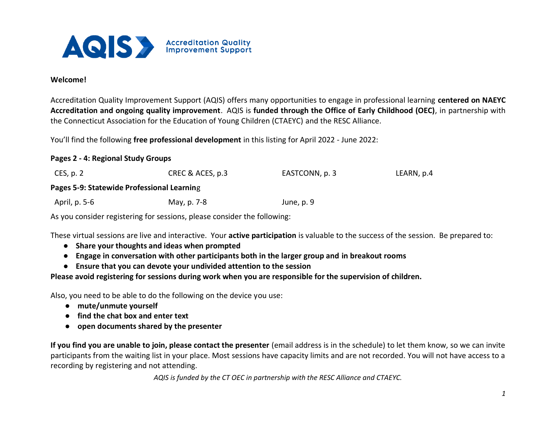

### **Welcome!**

Accreditation Quality Improvement Support (AQIS) offers many opportunities to engage in professional learning **centered on NAEYC Accreditation and ongoing quality improvement**. AQIS is **funded through the Office of Early Childhood (OEC)**, in partnership with the Connecticut Association for the Education of Young Children (CTAEYC) and the RESC Alliance.

You'll find the following **free professional development** in this listing for April 2022 - June 2022:

#### **Pages 2 - 4: Regional Study Groups**

| CES, p. 2                                  | CREC & ACES, p.3 | EASTCONN, p. 3 | LEARN, p.4 |  |  |
|--------------------------------------------|------------------|----------------|------------|--|--|
| Pages 5-9: Statewide Professional Learning |                  |                |            |  |  |
| April, p. 5-6                              | May, p. 7-8      | June, p. 9     |            |  |  |

As you consider registering for sessions, please consider the following:

These virtual sessions are live and interactive. Your **active participation** is valuable to the success of the session. Be prepared to:

- **Share your thoughts and ideas when prompted**
- **Engage in conversation with other participants both in the larger group and in breakout rooms**
- **Ensure that you can devote your undivided attention to the session**

**Please avoid registering for sessions during work when you are responsible for the supervision of children.**

Also, you need to be able to do the following on the device you use:

- **mute/unmute yourself**
- **find the chat box and enter text**
- **open documents shared by the presenter**

**If you find you are unable to join, please contact the presenter** (email address is in the schedule) to let them know, so we can invite participants from the waiting list in your place. Most sessions have capacity limits and are not recorded. You will not have access to a recording by registering and not attending.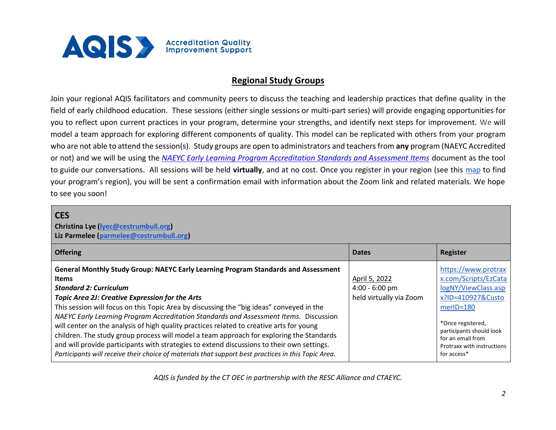

### **Regional Study Groups**

Join your regional AQIS facilitators and community peers to discuss the teaching and leadership practices that define quality in the field of early childhood education. These sessions (either single sessions or multi-part series) will provide engaging opportunities for you to reflect upon current practices in your program, determine your strengths, and identify next steps for improvement. We will model a team approach for exploring different components of quality. This model can be replicated with others from your program who are not able to attend the session(s). Study groups are open to administrators and teachers from **any** program (NAEYC Accredited or not) and we will be using the *[NAEYC Early Learning Program Accreditation Standards and Assessment Items](https://www.naeyc.org/sites/default/files/globally-shared/downloads/PDFs/accreditation/early-learning/2022elpstandardsandassessmentitems-compressed.pdf)* document as the tool to guide our conversations. All sessions will be held **virtually**, and at no cost. Once you register in your region (see this [map](https://www.ctoec.org/program-improvement-supports/aqis/) to find your program's region), you will be sent a confirmation email with information about the Zoom link and related materials. We hope to see you soon!

### **CES**

**Christina Lye [\(lyec@cestrumbull.org\)](mailto:lyec@cestrumbull.org) Liz Parmelee [\(parmelee@cestrumbull.org\)](mailto:parmelee@cestrumbull.org)** 

| <b>Offering</b>                                                                                                                                                                                                                                                                                                                                                                                                                                                                                                                                                                                                                                                                                                                                                          | <b>Dates</b>                                                 | Register                                                                                                                                                                                                                    |
|--------------------------------------------------------------------------------------------------------------------------------------------------------------------------------------------------------------------------------------------------------------------------------------------------------------------------------------------------------------------------------------------------------------------------------------------------------------------------------------------------------------------------------------------------------------------------------------------------------------------------------------------------------------------------------------------------------------------------------------------------------------------------|--------------------------------------------------------------|-----------------------------------------------------------------------------------------------------------------------------------------------------------------------------------------------------------------------------|
| General Monthly Study Group: NAEYC Early Learning Program Standards and Assessment<br><b>Items</b><br><b>Standard 2: Curriculum</b><br>Topic Area 2J: Creative Expression for the Arts<br>This session will focus on this Topic Area by discussing the "big ideas" conveyed in the<br>NAEYC Early Learning Program Accreditation Standards and Assessment Items. Discussion<br>will center on the analysis of high quality practices related to creative arts for young<br>children. The study group process will model a team approach for exploring the Standards<br>and will provide participants with strategies to extend discussions to their own settings.<br>Participants will receive their choice of materials that support best practices in this Topic Area. | April 5, 2022<br>$4:00 - 6:00$ pm<br>held virtually via Zoom | https://www.protrax<br>x.com/Scripts/EzCata<br>logNY/ViewClass.asp<br>x?ID=410927&Custo<br>$merID = 180$<br>*Once registered,<br>participants should look<br>for an email from<br>Protraxx with instructions<br>for access* |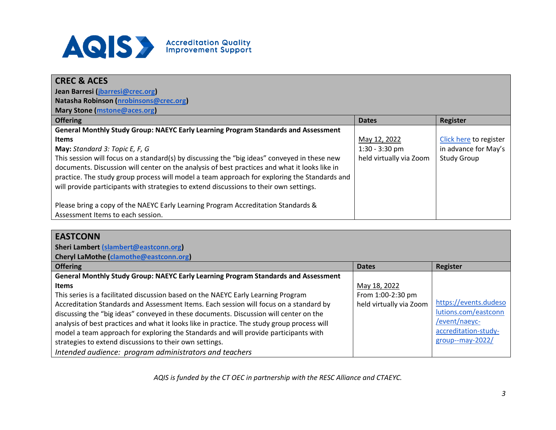

| <b>CREC &amp; ACES</b>                                                                        |                         |                        |
|-----------------------------------------------------------------------------------------------|-------------------------|------------------------|
| Jean Barresi (jbarresi@crec.org)                                                              |                         |                        |
| Natasha Robinson (nrobinsons@crec.org)                                                        |                         |                        |
| Mary Stone (mstone@aces.org)                                                                  |                         |                        |
| <b>Offering</b>                                                                               | <b>Dates</b>            | Register               |
| General Monthly Study Group: NAEYC Early Learning Program Standards and Assessment            |                         |                        |
| <b>Items</b>                                                                                  | May 12, 2022            | Click here to register |
| May: Standard 3: Topic E, F, G                                                                | $1:30 - 3:30$ pm        | in advance for May's   |
| This session will focus on a standard(s) by discussing the "big ideas" conveyed in these new  | held virtually via Zoom | <b>Study Group</b>     |
| documents. Discussion will center on the analysis of best practices and what it looks like in |                         |                        |
| practice. The study group process will model a team approach for exploring the Standards and  |                         |                        |
| will provide participants with strategies to extend discussions to their own settings.        |                         |                        |
|                                                                                               |                         |                        |
| Please bring a copy of the NAEYC Early Learning Program Accreditation Standards &             |                         |                        |
| Assessment Items to each session.                                                             |                         |                        |

## **EASTCONN**

**Sheri Lambert [\(slambert@eastconn.org\)](mailto:slambert@eastconn.org)** 

**Cheryl LaMothe [\(clamothe@eastconn.org\)](mailto:clamothe@eastconn.org)** 

| <b>Offering</b>                                                                             | <b>Dates</b>            | Register              |
|---------------------------------------------------------------------------------------------|-------------------------|-----------------------|
| General Monthly Study Group: NAEYC Early Learning Program Standards and Assessment          |                         |                       |
| <b>Items</b>                                                                                | May 18, 2022            |                       |
| This series is a facilitated discussion based on the NAEYC Early Learning Program           | From 1:00-2:30 pm       |                       |
| Accreditation Standards and Assessment Items. Each session will focus on a standard by      | held virtually via Zoom | https://events.dudeso |
| discussing the "big ideas" conveyed in these documents. Discussion will center on the       |                         | lutions.com/eastconn  |
| analysis of best practices and what it looks like in practice. The study group process will |                         | /event/naeyc-         |
| model a team approach for exploring the Standards and will provide participants with        |                         | accreditation-study-  |
| strategies to extend discussions to their own settings.                                     |                         | group--may-2022/      |
| Intended audience: program administrators and teachers                                      |                         |                       |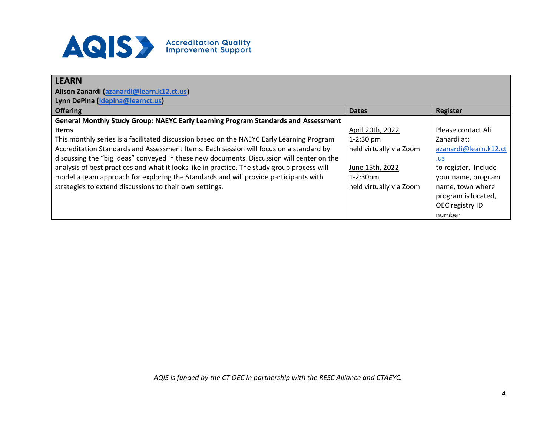

| <b>LEARN</b>                                                                                |                         |                       |
|---------------------------------------------------------------------------------------------|-------------------------|-----------------------|
| Alison Zanardi (azanardi@learn.k12.ct.us)                                                   |                         |                       |
| Lynn DePina (Idepina@learnct.us)                                                            |                         |                       |
| <b>Offering</b>                                                                             | <b>Dates</b>            | Register              |
| General Monthly Study Group: NAEYC Early Learning Program Standards and Assessment          |                         |                       |
| <b>Items</b>                                                                                | April 20th, 2022        | Please contact Ali    |
| This monthly series is a facilitated discussion based on the NAEYC Early Learning Program   | $1-2:30$ pm             | Zanardi at:           |
| Accreditation Standards and Assessment Items. Each session will focus on a standard by      | held virtually via Zoom | azanardi@learn.k12.ct |
| discussing the "big ideas" conveyed in these new documents. Discussion will center on the   |                         | <u>.us</u>            |
| analysis of best practices and what it looks like in practice. The study group process will | June 15th, 2022         | to register. Include  |
| model a team approach for exploring the Standards and will provide participants with        | $1 - 2:30$ pm           | your name, program    |
| strategies to extend discussions to their own settings.                                     | held virtually via Zoom | name, town where      |
|                                                                                             |                         | program is located,   |
|                                                                                             |                         | OEC registry ID       |
|                                                                                             |                         | number                |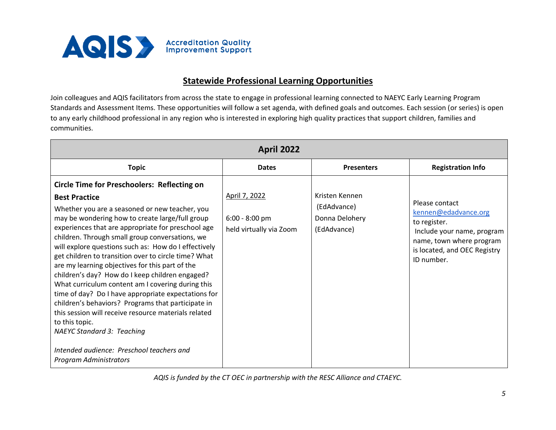

### **Statewide Professional Learning Opportunities**

Join colleagues and AQIS facilitators from across the state to engage in professional learning connected to NAEYC Early Learning Program Standards and Assessment Items. These opportunities will follow a set agenda, with defined goals and outcomes. Each session (or series) is open to any early childhood professional in any region who is interested in exploring high quality practices that support children, families and communities.

| <b>April 2022</b>                                                                                                                                                                                                                                                                                                                                                                                                                                                                                                                                                                                                                                                                                                                                                                                                                                                             |                                                              |                                                                |                                                                                                                                                                |  |
|-------------------------------------------------------------------------------------------------------------------------------------------------------------------------------------------------------------------------------------------------------------------------------------------------------------------------------------------------------------------------------------------------------------------------------------------------------------------------------------------------------------------------------------------------------------------------------------------------------------------------------------------------------------------------------------------------------------------------------------------------------------------------------------------------------------------------------------------------------------------------------|--------------------------------------------------------------|----------------------------------------------------------------|----------------------------------------------------------------------------------------------------------------------------------------------------------------|--|
| <b>Topic</b>                                                                                                                                                                                                                                                                                                                                                                                                                                                                                                                                                                                                                                                                                                                                                                                                                                                                  | <b>Dates</b>                                                 | <b>Presenters</b>                                              | <b>Registration Info</b>                                                                                                                                       |  |
| <b>Circle Time for Preschoolers: Reflecting on</b><br><b>Best Practice</b><br>Whether you are a seasoned or new teacher, you<br>may be wondering how to create large/full group<br>experiences that are appropriate for preschool age<br>children. Through small group conversations, we<br>will explore questions such as: How do I effectively<br>get children to transition over to circle time? What<br>are my learning objectives for this part of the<br>children's day? How do I keep children engaged?<br>What curriculum content am I covering during this<br>time of day? Do I have appropriate expectations for<br>children's behaviors? Programs that participate in<br>this session will receive resource materials related<br>to this topic.<br><b>NAEYC Standard 3: Teaching</b><br>Intended audience: Preschool teachers and<br><b>Program Administrators</b> | April 7, 2022<br>$6:00 - 8:00$ pm<br>held virtually via Zoom | Kristen Kennen<br>(EdAdvance)<br>Donna Delohery<br>(EdAdvance) | Please contact<br>kennen@edadvance.org<br>to register.<br>Include your name, program<br>name, town where program<br>is located, and OEC Registry<br>ID number. |  |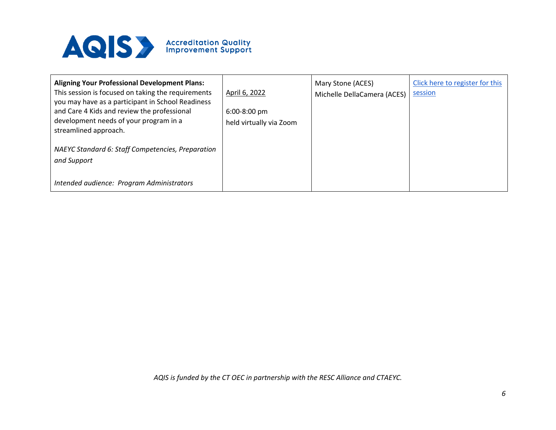

| <b>Aligning Your Professional Development Plans:</b><br>This session is focused on taking the requirements<br>you may have as a participant in School Readiness<br>and Care 4 Kids and review the professional<br>development needs of your program in a<br>streamlined approach. | April 6, 2022<br>$6:00-8:00$ pm<br>held virtually via Zoom | Mary Stone (ACES)<br>Michelle DellaCamera (ACES) | Click here to register for this<br>session |
|-----------------------------------------------------------------------------------------------------------------------------------------------------------------------------------------------------------------------------------------------------------------------------------|------------------------------------------------------------|--------------------------------------------------|--------------------------------------------|
| NAEYC Standard 6: Staff Competencies, Preparation<br>and Support<br>Intended audience: Program Administrators                                                                                                                                                                     |                                                            |                                                  |                                            |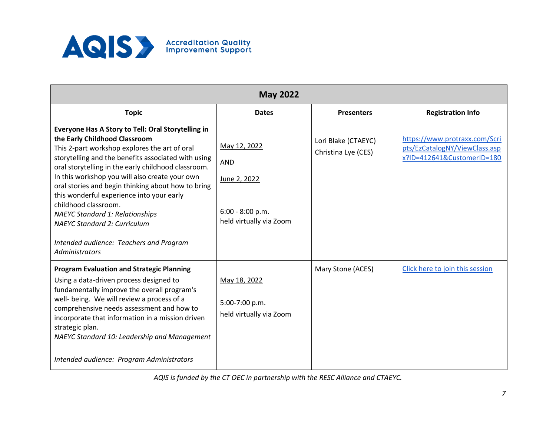

| <b>May 2022</b>                                                                                                                                                                                                                                                                                                                                                                                                                                                                                                                                                               |                                                                                             |                                            |                                                                                              |  |
|-------------------------------------------------------------------------------------------------------------------------------------------------------------------------------------------------------------------------------------------------------------------------------------------------------------------------------------------------------------------------------------------------------------------------------------------------------------------------------------------------------------------------------------------------------------------------------|---------------------------------------------------------------------------------------------|--------------------------------------------|----------------------------------------------------------------------------------------------|--|
| <b>Topic</b>                                                                                                                                                                                                                                                                                                                                                                                                                                                                                                                                                                  | <b>Dates</b>                                                                                | <b>Presenters</b>                          | <b>Registration Info</b>                                                                     |  |
| Everyone Has A Story to Tell: Oral Storytelling in<br>the Early Childhood Classroom<br>This 2-part workshop explores the art of oral<br>storytelling and the benefits associated with using<br>oral storytelling in the early childhood classroom.<br>In this workshop you will also create your own<br>oral stories and begin thinking about how to bring<br>this wonderful experience into your early<br>childhood classroom.<br><b>NAEYC Standard 1: Relationships</b><br><b>NAEYC Standard 2: Curriculum</b><br>Intended audience: Teachers and Program<br>Administrators | May 12, 2022<br><b>AND</b><br>June 2, 2022<br>$6:00 - 8:00 p.m.$<br>held virtually via Zoom | Lori Blake (CTAEYC)<br>Christina Lye (CES) | https://www.protraxx.com/Scri<br>pts/EzCatalogNY/ViewClass.asp<br>x?ID=412641&CustomerID=180 |  |
| <b>Program Evaluation and Strategic Planning</b><br>Using a data-driven process designed to<br>fundamentally improve the overall program's<br>well- being. We will review a process of a<br>comprehensive needs assessment and how to<br>incorporate that information in a mission driven<br>strategic plan.<br>NAEYC Standard 10: Leadership and Management<br>Intended audience: Program Administrators                                                                                                                                                                     | May 18, 2022<br>5:00-7:00 p.m.<br>held virtually via Zoom                                   | Mary Stone (ACES)                          | Click here to join this session                                                              |  |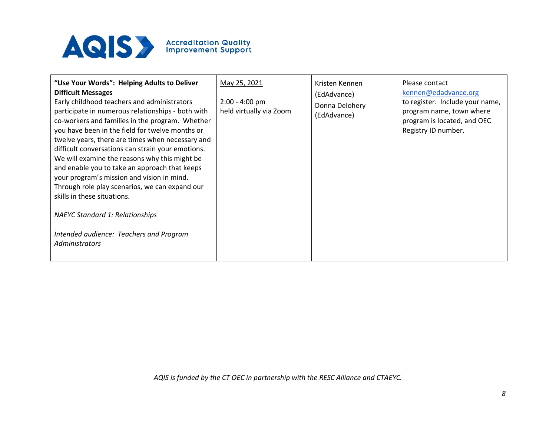

| "Use Your Words": Helping Adults to Deliver<br><b>Difficult Messages</b><br>Early childhood teachers and administrators<br>participate in numerous relationships - both with<br>co-workers and families in the program. Whether<br>you have been in the field for twelve months or<br>twelve years, there are times when necessary and<br>difficult conversations can strain your emotions.<br>We will examine the reasons why this might be<br>and enable you to take an approach that keeps<br>your program's mission and vision in mind.<br>Through role play scenarios, we can expand our<br>skills in these situations.<br><b>NAEYC Standard 1: Relationships</b><br>Intended audience: Teachers and Program<br><b>Administrators</b> | May 25, 2021<br>$2:00 - 4:00$ pm<br>held virtually via Zoom | Kristen Kennen<br>(EdAdvance)<br>Donna Delohery<br>(EdAdvance) | Please contact<br>kennen@edadvance.org<br>to register. Include your name,<br>program name, town where<br>program is located, and OEC<br>Registry ID number. |
|--------------------------------------------------------------------------------------------------------------------------------------------------------------------------------------------------------------------------------------------------------------------------------------------------------------------------------------------------------------------------------------------------------------------------------------------------------------------------------------------------------------------------------------------------------------------------------------------------------------------------------------------------------------------------------------------------------------------------------------------|-------------------------------------------------------------|----------------------------------------------------------------|-------------------------------------------------------------------------------------------------------------------------------------------------------------|
|--------------------------------------------------------------------------------------------------------------------------------------------------------------------------------------------------------------------------------------------------------------------------------------------------------------------------------------------------------------------------------------------------------------------------------------------------------------------------------------------------------------------------------------------------------------------------------------------------------------------------------------------------------------------------------------------------------------------------------------------|-------------------------------------------------------------|----------------------------------------------------------------|-------------------------------------------------------------------------------------------------------------------------------------------------------------|